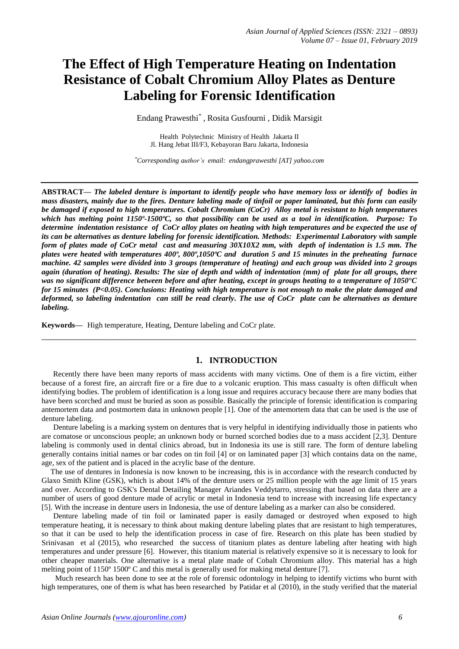# **The Effect of High Temperature Heating on Indentation Resistance of Cobalt Chromium Alloy Plates as Denture Labeling for Forensic Identification**

Endang Prawesthi*\** , Rosita Gusfourni , Didik Marsigit

Health Polytechnic Ministry of Health Jakarta II Jl. Hang Jebat III/F3, Kebayoran Baru Jakarta, Indonesia

*\*Corresponding author's email: endangprawesthi [AT] yahoo.com*

**ABSTRACT—** *The labeled denture is important to identify people who have memory loss or identify of bodies in mass disasters, mainly due to the fires. Denture labeling made of tinfoil or paper laminated, but this form can easily be damaged if exposed to high temperatures. Cobalt Chromium (CoCr) Alloy metal is resistant to high temperatures which has melting point 1150º-1500ºC, so that possibility can be used as a tool in identification. Purpose: To determine indentation resistance of CoCr alloy plates on heating with high temperatures and be expected the use of its can be alternatives as denture labeling for forensic identification. Methods: Experimental Laboratory with sample form of plates made of CoCr metal cast and measuring 30X10X2 mm, with depth of indentation is 1.5 mm. The plates were heated with temperatures 400º, 800º,1050ºC and duration 5 and 15 minutes in the preheating furnace machine. 42 samples were divided into 3 groups (temperature of heating) and each group was divided into 2 groups again (duration of heating). Results: The size of depth and width of indentation (mm) of plate for all groups, there was no significant difference between before and after heating, except in groups heating to a temperature of 1050°C for 15 minutes (P<0.05). Conclusions: Heating with high temperature is not enough to make the plate damaged and deformed, so labeling indentation can still be read clearly. The use of CoCr plate can be alternatives as denture labeling.*

**Keywords—** High temperature, Heating, Denture labeling and CoCr plate.

### **1. INTRODUCTION**

**\_\_\_\_\_\_\_\_\_\_\_\_\_\_\_\_\_\_\_\_\_\_\_\_\_\_\_\_\_\_\_\_\_\_\_\_\_\_\_\_\_\_\_\_\_\_\_\_\_\_\_\_\_\_\_\_\_\_\_\_\_\_\_\_\_\_\_\_\_\_\_\_\_\_\_\_\_\_\_\_\_**

 Recently there have been many reports of mass accidents with many victims. One of them is a fire victim, either because of a forest fire, an aircraft fire or a fire due to a volcanic eruption. This mass casualty is often difficult when identifying bodies. The problem of identification is a long issue and requires accuracy because there are many bodies that have been scorched and must be buried as soon as possible. Basically the principle of forensic identification is comparing antemortem data and postmortem data in unknown people [1]. One of the antemortem data that can be used is the use of denture labeling.

 Denture labeling is a marking system on dentures that is very helpful in identifying individually those in patients who are comatose or unconscious people; an unknown body or burned scorched bodies due to a mass accident [2,3]. Denture labeling is commonly used in dental clinics abroad, but in Indonesia its use is still rare. The form of denture labeling generally contains initial names or bar codes on tin foil [4] or on laminated paper [3] which contains data on the name, age, sex of the patient and is placed in the acrylic base of the denture.

 The use of dentures in Indonesia is now known to be increasing, this is in accordance with the research conducted by Glaxo Smith Kline (GSK), which is about 14% of the denture users or 25 million people with the age limit of 15 years and over. According to GSK's Dental Detailing Manager Ariandes Veddytarro, stressing that based on data there are a number of users of good denture made of acrylic or metal in Indonesia tend to increase with increasing life expectancy [5]. With the increase in denture users in Indonesia, the use of denture labeling as a marker can also be considered.

 Denture labeling made of tin foil or laminated paper is easily damaged or destroyed when exposed to high temperature heating, it is necessary to think about making denture labeling plates that are resistant to high temperatures, so that it can be used to help the identification process in case of fire. Research on this plate has been studied by Srinivasan et al (2015), who researched the success of titanium plates as denture labeling after heating with high temperatures and under pressure [6]. However, this titanium material is relatively expensive so it is necessary to look for other cheaper materials. One alternative is a metal plate made of Cobalt Chromium alloy. This material has a high melting point of 1150<sup>o</sup> 1500<sup>o</sup> C and this metal is generally used for making metal denture [7].

 Much research has been done to see at the role of forensic odontology in helping to identify victims who burnt with high temperatures, one of them is what has been researched by Patidar et al (2010), in the study verified that the material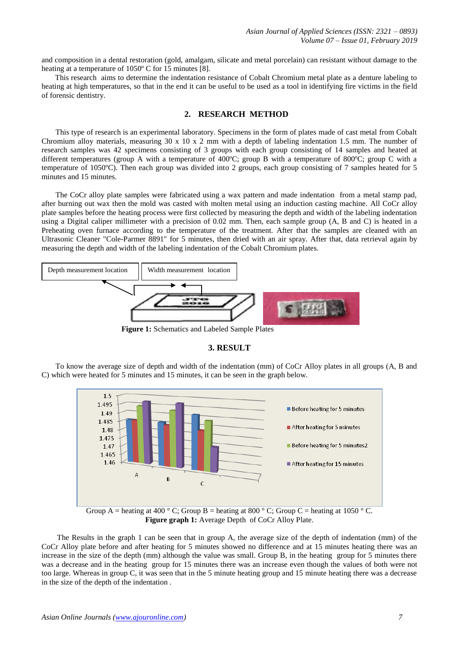and composition in a dental restoration (gold, amalgam, silicate and metal porcelain) can resistant without damage to the heating at a temperature of 1050º C for 15 minutes [8].

 This research aims to determine the indentation resistance of Cobalt Chromium metal plate as a denture labeling to heating at high temperatures, so that in the end it can be useful to be used as a tool in identifying fire victims in the field of forensic dentistry.

## **2. RESEARCH METHOD**

This type of research is an experimental laboratory. Specimens in the form of plates made of cast metal from Cobalt Chromium alloy materials, measuring 30 x 10 x 2 mm with a depth of labeling indentation 1.5 mm. The number of research samples was 42 specimens consisting of 3 groups with each group consisting of 14 samples and heated at different temperatures (group A with a temperature of 400ºC; group B with a temperature of 800ºC; group C with a temperature of 1050ºC). Then each group was divided into 2 groups, each group consisting of 7 samples heated for 5 minutes and 15 minutes.

The CoCr alloy plate samples were fabricated using a wax pattern and made indentation from a metal stamp pad, after burning out wax then the mold was casted with molten metal using an induction casting machine. All CoCr alloy plate samples before the heating process were first collected by measuring the depth and width of the labeling indentation using a Digital caliper millimeter with a precision of 0.02 mm. Then, each sample group (A, B and C) is heated in a Preheating oven furnace according to the temperature of the treatment. After that the samples are cleaned with an Ultrasonic Cleaner "Cole-Parmer 8891" for 5 minutes, then dried with an air spray. After that, data retrieval again by measuring the depth and width of the labeling indentation of the Cobalt Chromium plates.



 **Figure 1:** Schematics and Labeled Sample Plates

#### **3. RESULT**

To know the average size of depth and width of the indentation (mm) of CoCr Alloy plates in all groups (A, B and C) which were heated for 5 minutes and 15 minutes, it can be seen in the graph below.



**Figure graph 1:** Average Depth of CoCr Alloy Plate.

 The Results in the graph 1 can be seen that in group A, the average size of the depth of indentation (mm) of the CoCr Alloy plate before and after heating for 5 minutes showed no difference and at 15 minutes heating there was an increase in the size of the depth (mm) although the value was small. Group B, in the heating group for 5 minutes there was a decrease and in the heating group for 15 minutes there was an increase even though the values of both were not too large. Whereas in group C, it was seen that in the 5 minute heating group and 15 minute heating there was a decrease in the size of the depth of the indentation .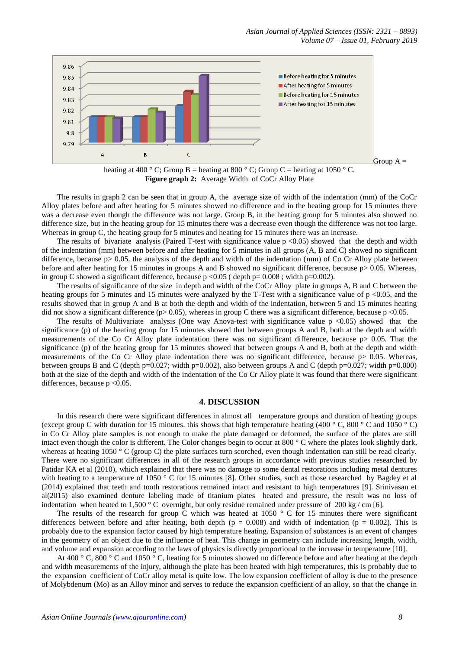*Asian Journal of Applied Sciences (ISSN: 2321 – 0893) Volume 07 – Issue 01, February 2019*



heating at 400 ° C; Group B = heating at 800 ° C; Group C = heating at 1050 ° C. **Figure graph 2:** Average Width of CoCr Alloy Plate

 The results in graph 2 can be seen that in group A, the average size of width of the indentation (mm) of the CoCr Alloy plates before and after heating for 5 minutes showed no difference and in the heating group for 15 minutes there was a decrease even though the difference was not large. Group B, in the heating group for 5 minutes also showed no difference size, but in the heating group for 15 minutes there was a decrease even though the difference was not too large. Whereas in group C, the heating group for 5 minutes and heating for 15 minutes there was an increase.

The results of bivariate analysis (Paired T-test with significance value  $p \le 0.05$ ) showed that the depth and width of the indentation (mm) between before and after heating for 5 minutes in all groups (A, B and C) showed no significant difference, because  $p > 0.05$ . the analysis of the depth and width of the indentation (mm) of Co Cr Alloy plate between before and after heating for 15 minutes in groups A and B showed no significant difference, because  $p > 0.05$ . Whereas, in group C showed a significant difference, because  $p \le 0.05$  ( depth  $p=0.008$ ; width  $p=0.002$ ).

 The results of significance of the size in depth and width of the CoCr Alloy plate in groups A, B and C between the heating groups for 5 minutes and 15 minutes were analyzed by the T-Test with a significance value of  $p$  <0.05, and the results showed that in group A and B at both the depth and width of the indentation, between 5 and 15 minutes heating did not show a significant difference ( $p$  > 0.05), whereas in group C there was a significant difference, because  $p$  <0.05.

The results of Multivariate analysis (One way Anova-test with significance value  $p \le 0.05$ ) showed that the significance (p) of the heating group for 15 minutes showed that between groups A and B, both at the depth and width measurements of the Co Cr Alloy plate indentation there was no significant difference, because p> 0.05. That the significance (p) of the heating group for 15 minutes showed that between groups A and B, both at the depth and width measurements of the Co Cr Alloy plate indentation there was no significant difference, because  $p > 0.05$ . Whereas, between groups B and C (depth p=0.027; width p=0.002), also between groups A and C (depth p=0.027; width p=0.000) both at the size of the depth and width of the indentation of the Co Cr Alloy plate it was found that there were significant differences, because p <0.05.

#### **4. DISCUSSION**

 In this research there were significant differences in almost all temperature groups and duration of heating groups (except group C with duration for 15 minutes. this shows that high temperature heating (400 ° C, 800 ° C and 1050 ° C) in Co Cr Alloy plate samples is not enough to make the plate damaged or deformed, the surface of the plates are still intact even though the color is different. The Color changes begin to occur at 800 ° C where the plates look slightly dark, whereas at heating 1050 ° C (group C) the plate surfaces turn scorched, even though indentation can still be read clearly. There were no significant differences in all of the research groups in accordance with previous studies researched by Patidar KA et al (2010), which explained that there was no damage to some dental restorations including metal dentures with heating to a temperature of 1050 ° C for 15 minutes [8]. Other studies, such as those researched by Bagdey et al (2014) explained that teeth and tooth restorations remained intact and resistant to high temperatures [9]. Srinivasan et al(2015) also examined denture labeling made of titanium plates heated and pressure, the result was no loss of indentation when heated to 1,500 ° C overnight, but only residue remained under pressure of 200 kg / cm [6].

The results of the research for group C which was heated at 1050  $\degree$  C for 15 minutes there were significant differences between before and after heating, both depth ( $p = 0.008$ ) and width of indentation ( $p = 0.002$ ). This is probably due to the expansion factor caused by high temperature heating. Expansion of substances is an event of changes in the geometry of an object due to the influence of heat. This change in geometry can include increasing length, width, and volume and expansion according to the laws of physics is directly proportional to the increase in temperature [10].

At 400 ° C, 800 ° C and 1050 ° C, heating for 5 minutes showed no difference before and after heating at the depth and width measurements of the injury, although the plate has been heated with high temperatures, this is probably due to the expansion coefficient of CoCr alloy metal is quite low. The low expansion coefficient of alloy is due to the presence of Molybdenum (Mo) as an Alloy minor and serves to reduce the expansion coefficient of an alloy, so that the change in